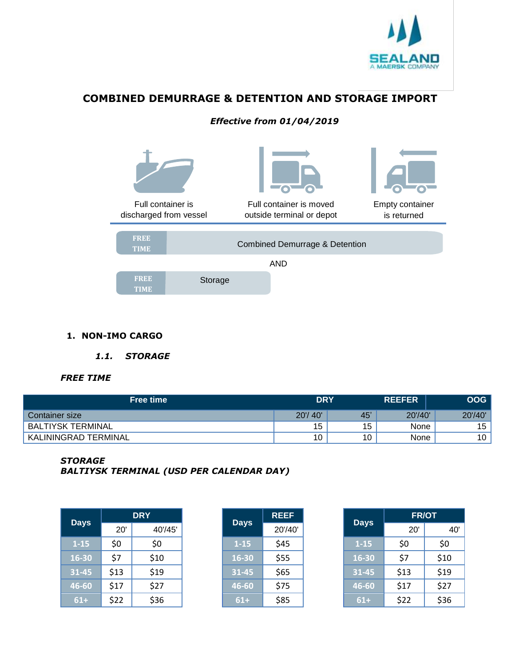

# **COMBINED DEMURRAGE & DETENTION AND STORAGE IMPORT**

## *Effective from 01/04/2019*



#### **1. NON-IMO CARGO**

#### *1.1. STORAGE*

#### *FREE TIME*

| <b>Free time</b>         | <b>DRY</b> |     | <b>REEFER</b> | <b>OOG</b> |
|--------------------------|------------|-----|---------------|------------|
| <b>Container size</b>    | 20'/40'    | 45' | 20'/40'       | 20'/40'    |
| <b>BALTIYSK TERMINAL</b> | 15         | 15  | None          | 15         |
| KALININGRAD TERMINAL     | 10         | 10  | None          | 10         |

#### *STORAGE*

*BALTIYSK TERMINAL (USD PER CALENDAR DAY)*

| <b>Days</b> |      | <b>DRY</b> | <b>Days</b> | <b>REEF</b> | <b>Days</b> | <b>FR/OT</b> |      |
|-------------|------|------------|-------------|-------------|-------------|--------------|------|
|             | 20'  | 40'/45'    |             | 20'/40'     |             | 20'          |      |
| $1 - 15$    | \$0  | \$0        | $1 - 15$    | \$45        | $1 - 15$    | \$0          | \$0  |
| 16-30       | \$7  | \$10       | 16-30       | \$55        | 16-30       | \$7          | \$10 |
| $31 - 45$   | \$13 | \$19       | 31-45       | \$65        | $31 - 45$   | \$13         | \$19 |
| 46-60       | \$17 | \$27       | 46-60       | \$75        | 46-60       | \$17         | \$27 |
| $61+$       | \$22 | \$36       | $61+$       | \$85        | $61+$       | \$22         | \$36 |

|             | REEF    |
|-------------|---------|
| <b>Days</b> | 20'/40' |
| $1 - 15$    | \$45    |
| 16-30       | \$55    |
| 31-45       | \$65    |
| 46-60       | \$75    |
| 61+         | \$85    |

|           |      | <b>DRY</b> | <b>Days</b> | <b>REEF</b> |             | <b>FR/OT</b> |      |  |
|-----------|------|------------|-------------|-------------|-------------|--------------|------|--|
| )ays      | 20'  | 40'/45'    |             | 20'/40'     | <b>Days</b> | 20'          | 40'  |  |
| 1-15      | \$0  | \$0        | $1 - 15$    | \$45        | $1 - 15$    | \$0          | \$0  |  |
| $6 - 30$  | \$7  | \$10       | 16-30       | \$55        | 16-30       | \$7          | \$10 |  |
| $1 - 45$  | \$13 | \$19       | $31 - 45$   | \$65        | $31 - 45$   | \$13         | \$19 |  |
| $-6 - 60$ | \$17 | \$27       | 46-60       | \$75        | 46-60       | \$17         | \$27 |  |
| $61+$     | \$22 | \$36       | $61+$       | \$85        | $61+$       | \$22         | \$36 |  |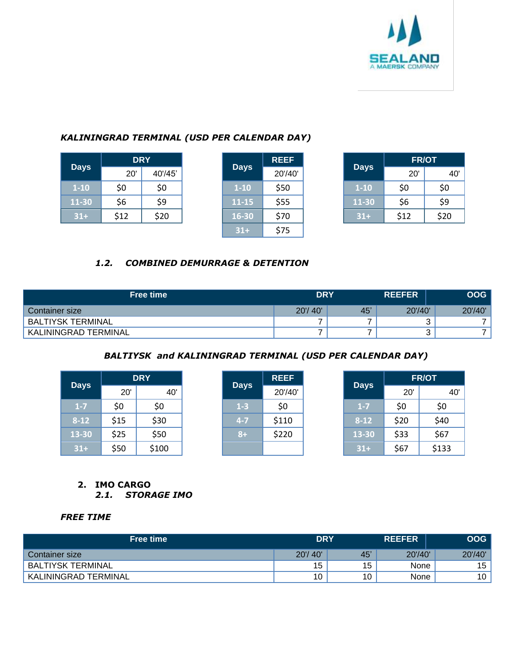

## *KALININGRAD TERMINAL (USD PER CALENDAR DAY)*

|             |      | <b>DRY</b> |  | <b>Days</b> | <b>REEF</b> |             | <b>FR/OT</b> |      |
|-------------|------|------------|--|-------------|-------------|-------------|--------------|------|
| <b>Days</b> | 20'  | 40'/45'    |  |             | 20'/40'     | <b>Days</b> | 20'          |      |
| $1 - 10$    | \$0  | \$0        |  | $1-10$      | \$50        | $1 - 10$    | \$0          | \$0  |
| 11-30       | \$6  | \$9        |  | $11 - 15$   | \$55        | 11-30       | \$6          | \$9  |
| $31+$       | \$12 | \$20       |  | 16-30       | \$70        | $31+$       | \$12         | \$20 |

|             | <b>REEF</b> |
|-------------|-------------|
| <b>Days</b> | 20'/40'     |
| $1 - 10$    | \$50        |
| 11-15       | \$55        |
| 16-30       | \$70        |
| $31 +$      | \$75        |

|             |      | <b>DRY</b> |             | <b>REEF</b> |             | <b>FR/OT</b> |      |
|-------------|------|------------|-------------|-------------|-------------|--------------|------|
| <b>Days</b> | 20'  | 40'/45'    | <b>Days</b> | 20'/40'     | <b>Days</b> | 20'          | 40'  |
| $1 - 10$    | \$0  | \$0        | $1 - 10$    | \$50        | $1 - 10$    | \$0          | \$0  |
| L1-30       | \$6  | \$9        | $11 - 15$   | \$55        | 11-30       | \$6          | \$9  |
| $31+$       | \$12 | \$20       | 16-30       | \$70        | $31+$       | \$12         | \$20 |

## *1.2. COMBINED DEMURRAGE & DETENTION*

| <b>Free time</b>     | <b>DRY</b> |     | <b>REEFER</b> | <b>OOG</b> |
|----------------------|------------|-----|---------------|------------|
| Container size       | 20'/40'    | 45' | 20'/40'       | 20'/40'    |
| BALTIYSK TERMINAL    |            |     |               |            |
| KALININGRAD TERMINAL |            |     |               |            |

## *BALTIYSK and KALININGRAD TERMINAL (USD PER CALENDAR DAY)*

|             |      | <b>DRY</b> |  |         | <b>Days</b> |             | <b>REEF</b> |       |  | <b>FR/OT</b> |
|-------------|------|------------|--|---------|-------------|-------------|-------------|-------|--|--------------|
| <b>Days</b> | 20'  | 40'        |  |         | 20'/40'     | <b>Days</b> | 20'         | 40'   |  |              |
| $1 - 7$     | \$0  | \$0        |  | $1-3$   | \$0         | $1 - 7$     | \$0         | \$0   |  |              |
| $8 - 12$    | \$15 | \$30       |  | $4 - 7$ | \$110       | $8 - 12$    | \$20        | \$40  |  |              |
| 13-30       | \$25 | \$50       |  | $8+$    | \$220       | 13-30       | \$33        | \$67  |  |              |
| $31+$       | \$50 | \$100      |  |         |             | $31+$       | \$67        | \$133 |  |              |

#### **2. IMO CARGO**  *2.1. STORAGE IMO*

#### *FREE TIME*

| <b>Free time</b>            | <b>DRY</b> |    | <b>REEFER</b> | <b>OOG</b> |
|-----------------------------|------------|----|---------------|------------|
| Container size              | 20'/40'    | 45 | 20'/40'       | 20'/40'    |
| <b>BALTIYSK TERMINAL</b>    | 15         | 15 | None          | 15         |
| <b>KALININGRAD TERMINAL</b> | 10         | 10 | None          | 10         |